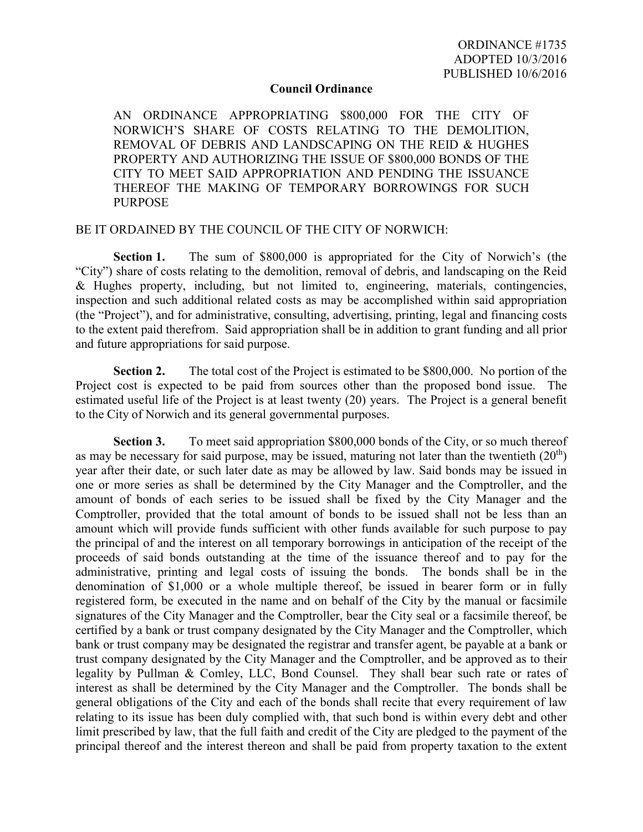## **Council Ordinance**

AN ORDINANCE APPROPRIATING \$800,000 FOR THE CITY OF NORWICH'S SHARE OF COSTS RELATING TO THE DEMOLITION, REMOVAL OF DEBRIS AND LANDSCAPING ON THE REID & HUGHES PROPERTY AND AUTHORIZING THE ISSUE OF \$800,000 BONDS OF THE CITY TO MEET SAID APPROPRIATION AND PENDING THE ISSUANCE THEREOF THE MAKING OF TEMPORARY BORROWINGS FOR SUCH PURPOSE

## BE IT ORDAINED BY THE COUNCIL OF THE CITY OF NORWICH:

**Section 1.** The sum of \$800,000 is appropriated for the City of Norwich's (the "City") share of costs relating to the demolition, removal of debris, and landscaping on the Reid & Hughes property, including, but not limited to, engineering, materials, contingencies, inspection and such additional related costs as may be accomplished within said appropriation (the "Project"), and for administrative, consulting, advertising, printing, legal and financing costs to the extent paid therefrom. Said appropriation shall be in addition to grant funding and all prior and future appropriations for said purpose.

**Section 2.** The total cost of the Project is estimated to be \$800,000. No portion of the Project cost is expected to be paid from sources other than the proposed bond issue. The estimated useful life of the Project is at least twenty (20) years. The Project is a general benefit to the City of Norwich and its general governmental purposes.

**Section 3.** To meet said appropriation \$800,000 bonds of the City, or so much thereof as may be necessary for said purpose, may be issued, maturing not later than the twentieth  $(20<sup>th</sup>)$ year after their date, or such later date as may be allowed by law. Said bonds may be issued in one or more series as shall be determined by the City Manager and the Comptroller, and the amount of bonds of each series to be issued shall be fixed by the City Manager and the Comptroller, provided that the total amount of bonds to be issued shall not be less than an amount which will provide funds sufficient with other funds available for such purpose to pay the principal of and the interest on all temporary borrowings in anticipation of the receipt of the proceeds of said bonds outstanding at the time of the issuance thereof and to pay for the administrative, printing and legal costs of issuing the bonds. The bonds shall be in the denomination of \$1,000 or a whole multiple thereof, be issued in bearer form or in fully registered form, be executed in the name and on behalf of the City by the manual or facsimile signatures of the City Manager and the Comptroller, bear the City seal or a facsimile thereof, be certified by a bank or trust company designated by the City Manager and the Comptroller, which bank or trust company may be designated the registrar and transfer agent, be payable at a bank or trust company designated by the City Manager and the Comptroller, and be approved as to their legality by Pullman & Comley, LLC, Bond Counsel. They shall bear such rate or rates of interest as shall be determined by the City Manager and the Comptroller. The bonds shall be general obligations of the City and each of the bonds shall recite that every requirement of law relating to its issue has been duly complied with, that such bond is within every debt and other limit prescribed by law, that the full faith and credit of the City are pledged to the payment of the principal thereof and the interest thereon and shall be paid from property taxation to the extent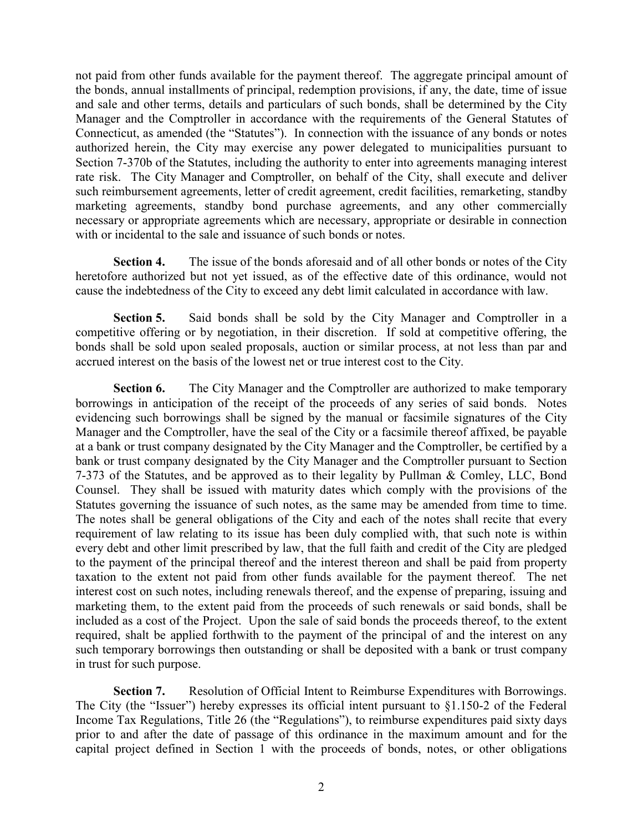not paid from other funds available for the payment thereof. The aggregate principal amount of the bonds, annual installments of principal, redemption provisions, if any, the date, time of issue and sale and other terms, details and particulars of such bonds, shall be determined by the City Manager and the Comptroller in accordance with the requirements of the General Statutes of Connecticut, as amended (the "Statutes"). In connection with the issuance of any bonds or notes authorized herein, the City may exercise any power delegated to municipalities pursuant to Section 7-370b of the Statutes, including the authority to enter into agreements managing interest rate risk. The City Manager and Comptroller, on behalf of the City, shall execute and deliver such reimbursement agreements, letter of credit agreement, credit facilities, remarketing, standby marketing agreements, standby bond purchase agreements, and any other commercially necessary or appropriate agreements which are necessary, appropriate or desirable in connection with or incidental to the sale and issuance of such bonds or notes.

**Section 4.** The issue of the bonds aforesaid and of all other bonds or notes of the City heretofore authorized but not yet issued, as of the effective date of this ordinance, would not cause the indebtedness of the City to exceed any debt limit calculated in accordance with law.

**Section 5.** Said bonds shall be sold by the City Manager and Comptroller in a competitive offering or by negotiation, in their discretion. If sold at competitive offering, the bonds shall be sold upon sealed proposals, auction or similar process, at not less than par and accrued interest on the basis of the lowest net or true interest cost to the City.

**Section 6.** The City Manager and the Comptroller are authorized to make temporary borrowings in anticipation of the receipt of the proceeds of any series of said bonds. Notes evidencing such borrowings shall be signed by the manual or facsimile signatures of the City Manager and the Comptroller, have the seal of the City or a facsimile thereof affixed, be payable at a bank or trust company designated by the City Manager and the Comptroller, be certified by a bank or trust company designated by the City Manager and the Comptroller pursuant to Section 7-373 of the Statutes, and be approved as to their legality by Pullman & Comley, LLC, Bond Counsel. They shall be issued with maturity dates which comply with the provisions of the Statutes governing the issuance of such notes, as the same may be amended from time to time. The notes shall be general obligations of the City and each of the notes shall recite that every requirement of law relating to its issue has been duly complied with, that such note is within every debt and other limit prescribed by law, that the full faith and credit of the City are pledged to the payment of the principal thereof and the interest thereon and shall be paid from property taxation to the extent not paid from other funds available for the payment thereof. The net interest cost on such notes, including renewals thereof, and the expense of preparing, issuing and marketing them, to the extent paid from the proceeds of such renewals or said bonds, shall be included as a cost of the Project. Upon the sale of said bonds the proceeds thereof, to the extent required, shalt be applied forthwith to the payment of the principal of and the interest on any such temporary borrowings then outstanding or shall be deposited with a bank or trust company in trust for such purpose.

**Section 7.** Resolution of Official Intent to Reimburse Expenditures with Borrowings. The City (the "Issuer") hereby expresses its official intent pursuant to §1.150-2 of the Federal Income Tax Regulations, Title 26 (the "Regulations"), to reimburse expenditures paid sixty days prior to and after the date of passage of this ordinance in the maximum amount and for the capital project defined in Section 1 with the proceeds of bonds, notes, or other obligations